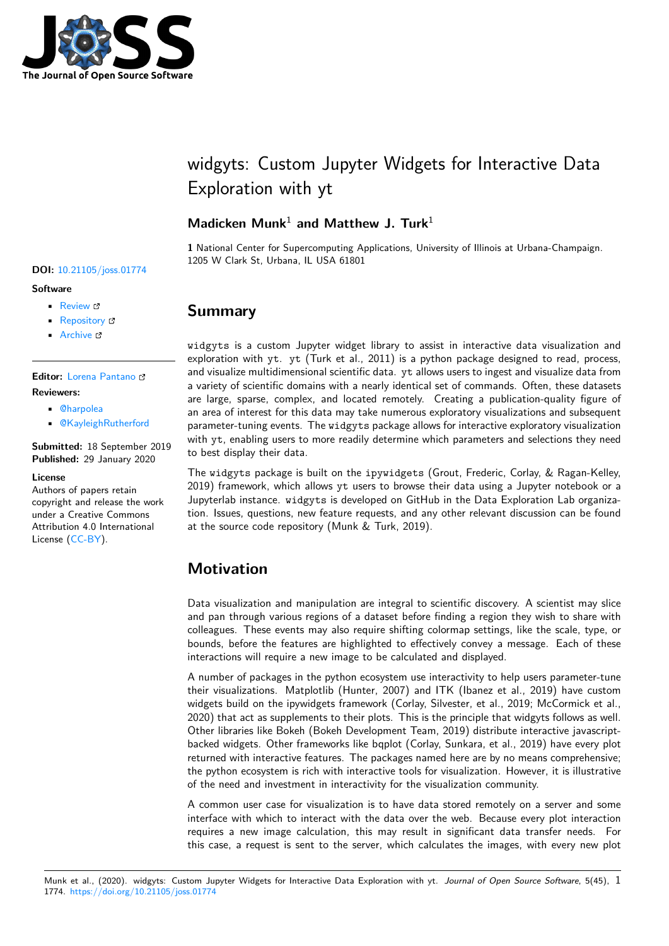

# widgyts: Custom Jupyter Widgets for Interactive Data Exploration with yt

### **Madicken Munk**<sup>1</sup> **and Matthew J. Turk**<sup>1</sup>

**1** National Center for Supercomputing Applications, University of Illinois at Urbana-Champaign. 1205 W Clark St, Urbana, IL USA 61801

#### **Software**

- Review L'
- [Repository](https://doi.org/10.21105/joss.01774) &

**DOI:** 10.21105/joss.01774

• Archive &

### **Editor:** [Lorena P](https://github.com/data-exp-lab/widgyts)antano

#### **Revie[wers:](https://doi.org/10.5281/zenodo.3583416)**

- @harpolea
- @[KayleighRutherfo](https://lpantano.github.io/)rd

**Submitted:** 18 September 2019 **Publi[shed:](https://github.com/harpolea)** 29 January 2020

#### **License**

Autho[rs of papers retain](https://github.com/KayleighRutherford) copyright and release the work under a Creative Commons Attribution 4.0 International License (CC-BY).

# **Summary**

widgyts is a custom Jupyter widget library to assist in interactive data visualization and exploration with yt. yt (Turk et al., 2011) is a python package designed to read, process, and visualize multidimensional scientific data. yt allows users to ingest and visualize data from a variety of scientific domains with a nearly identical set of commands. Often, these datasets are large, sparse, complex, and located remotely. Creating a publication-quality figure of an area of interest for this data may take numerous exploratory visualizations and subsequent parameter-tuning events. The widgyts package allows for interactive exploratory visualization with yt, enabling users to more readily determine which parameters and selections they need to best display their data.

The widgyts package is built on the ipywidgets (Grout, Frederic, Corlay, & Ragan-Kelley, 2019) framework, which allows yt users to browse their data using a Jupyter notebook or a Jupyterlab instance. widgyts is developed on GitHub in the Data Exploration Lab organization. Issues, questions, new feature requests, and any other relevant discussion can be found at the source code repository (Munk & Turk, 2019).

### **Motivation**

Data visualization and manipulation are integral to scientific discovery. A scientist may slice and pan through various regions of a dataset before finding a region they wish to share with colleagues. These events may also require shifting colormap settings, like the scale, type, or bounds, before the features are highlighted to effectively convey a message. Each of these interactions will require a new image to be calculated and displayed.

A number of packages in the python ecosystem use interactivity to help users parameter-tune their visualizations. Matplotlib (Hunter, 2007) and ITK (Ibanez et al., 2019) have custom widgets build on the ipywidgets framework (Corlay, Silvester, et al., 2019; McCormick et al., 2020) that act as supplements to their plots. This is the principle that widgyts follows as well. Other libraries like Bokeh (Bokeh Development Team, 2019) distribute interactive javascriptbacked widgets. Other frameworks like bqplot (Corlay, Sunkara, et al., 2019) have every plot returned with interactive features. The packages named here are by no means comprehensive; the python ecosystem is rich with interactive tools for visualization. However, it is illustrative of the need and investment in interactivity for the visualization community.

A common user case for visualization is to have data stored remotely on a server and some interface with which to interact with the data over the web. Because every plot interaction requires a new image calculation, this may result in significant data transfer needs. For this case, a request is sent to the server, which calculates the images, with every new plot

#### Munk et al., (2020). widgyts: Custom Jupyter Widgets for Interactive Data Exploration with yt. *Journal of Open Source Software*, 5(45), 11774. https://doi.org/10.21105/joss.01774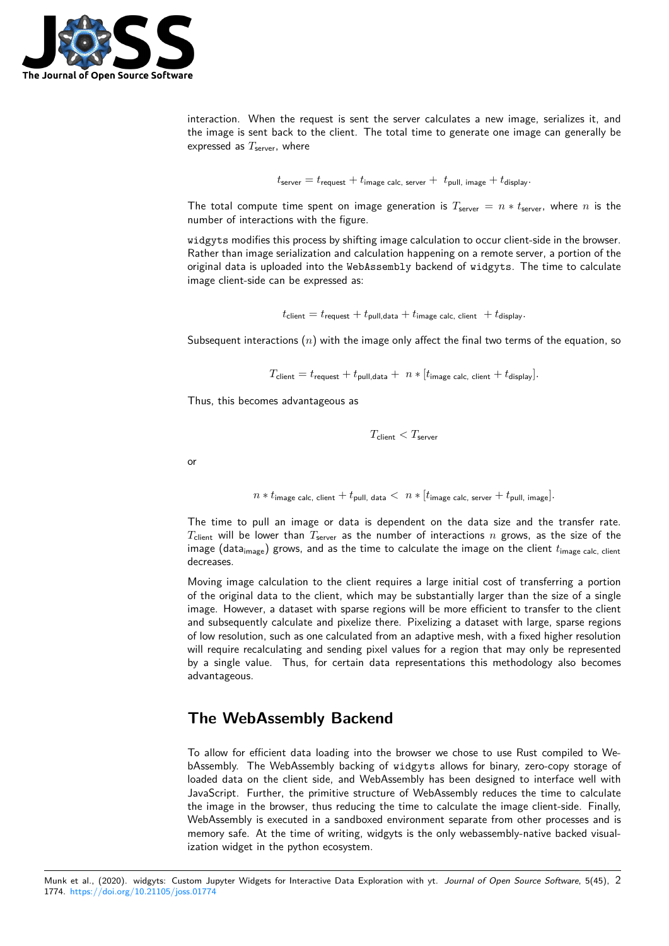

interaction. When the request is sent the server calculates a new image, serializes it, and the image is sent back to the client. The total time to generate one image can generally be expressed as  $T_{\text{server}}$ , where

$$
t_{\text{server}} = t_{\text{request}} + t_{\text{image calc, server}} + t_{\text{pull, image}} + t_{\text{display}}.
$$

The total compute time spent on image generation is  $T_{\text{server}} = n * t_{\text{server}}$ , where *n* is the number of interactions with the figure.

widgyts modifies this process by shifting image calculation to occur client-side in the browser. Rather than image serialization and calculation happening on a remote server, a portion of the original data is uploaded into the WebAssembly backend of widgyts. The time to calculate image client-side can be expressed as:

 $t_{\text{client}} = t_{\text{request}} + t_{\text{pull.data}} + t_{\text{image calc. client}} + t_{\text{display}}.$ 

Subsequent interactions (*n*) with the image only affect the final two terms of the equation, so

 $T_{\text{client}} = t_{\text{request}} + t_{\text{pull},\text{data}} + n * [t_{\text{image calc},\text{ client}} + t_{\text{display}}].$ 

Thus, this becomes advantageous as

$$
T_{\rm client} < T_{\rm server}
$$

or

 $n * t_{\text{image calc, client}} + t_{\text{pull, data}} < n * [t_{\text{image calc, server}} + t_{\text{pull, image}}].$ 

The time to pull an image or data is dependent on the data size and the transfer rate. *T*client will be lower than *T*server as the number of interactions *n* grows, as the size of the image (data<sub>image</sub>) grows, and as the time to calculate the image on the client  $t_{\text{image calc, client}}$ decreases.

Moving image calculation to the client requires a large initial cost of transferring a portion of the original data to the client, which may be substantially larger than the size of a single image. However, a dataset with sparse regions will be more efficient to transfer to the client and subsequently calculate and pixelize there. Pixelizing a dataset with large, sparse regions of low resolution, such as one calculated from an adaptive mesh, with a fixed higher resolution will require recalculating and sending pixel values for a region that may only be represented by a single value. Thus, for certain data representations this methodology also becomes advantageous.

### **The WebAssembly Backend**

To allow for efficient data loading into the browser we chose to use Rust compiled to WebAssembly. The WebAssembly backing of widgyts allows for binary, zero-copy storage of loaded data on the client side, and WebAssembly has been designed to interface well with JavaScript. Further, the primitive structure of WebAssembly reduces the time to calculate the image in the browser, thus reducing the time to calculate the image client-side. Finally, WebAssembly is executed in a sandboxed environment separate from other processes and is memory safe. At the time of writing, widgyts is the only webassembly-native backed visualization widget in the python ecosystem.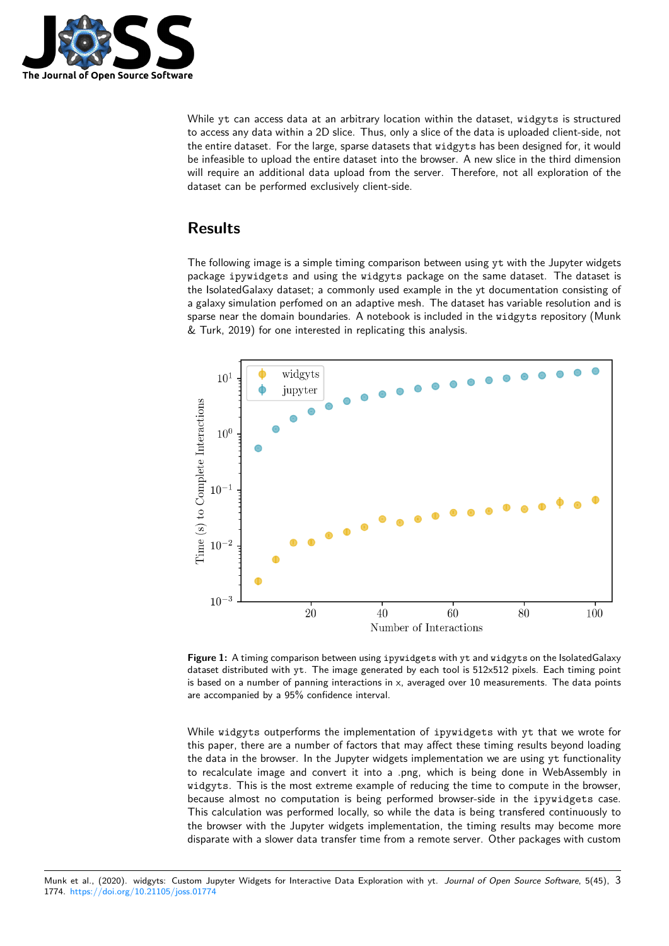

While yt can access data at an arbitrary location within the dataset, widgyts is structured to access any data within a 2D slice. Thus, only a slice of the data is uploaded client-side, not the entire dataset. For the large, sparse datasets that widgyts has been designed for, it would be infeasible to upload the entire dataset into the browser. A new slice in the third dimension will require an additional data upload from the server. Therefore, not all exploration of the dataset can be performed exclusively client-side.

# **Results**

The following image is a simple timing comparison between using yt with the Jupyter widgets package ipywidgets and using the widgyts package on the same dataset. The dataset is the IsolatedGalaxy dataset; a commonly used example in the yt documentation consisting of a galaxy simulation perfomed on an adaptive mesh. The dataset has variable resolution and is sparse near the domain boundaries. A notebook is included in the widgyts repository (Munk & Turk, 2019) for one interested in replicating this analysis.



**Figure 1:** A timing comparison between using ipywidgets with yt and widgyts on the IsolatedGalaxy dataset distributed with yt. The image generated by each tool is 512x512 pixels. Each timing point is based on a number of panning interactions in  $x$ , averaged over 10 measurements. The data points are accompanied by a 95% confidence interval.

While widgyts outperforms the implementation of ipywidgets with yt that we wrote for this paper, there are a number of factors that may affect these timing results beyond loading the data in the browser. In the Jupyter widgets implementation we are using yt functionality to recalculate image and convert it into a .png, which is being done in WebAssembly in widgyts. This is the most extreme example of reducing the time to compute in the browser, because almost no computation is being performed browser-side in the ipywidgets case. This calculation was performed locally, so while the data is being transfered continuously to the browser with the Jupyter widgets implementation, the timing results may become more disparate with a slower data transfer time from a remote server. Other packages with custom

Munk et al., (2020). widgyts: Custom Jupyter Widgets for Interactive Data Exploration with yt. *Journal of Open Source Software*, 5(45), 31774. https://doi.org/10.21105/joss.01774